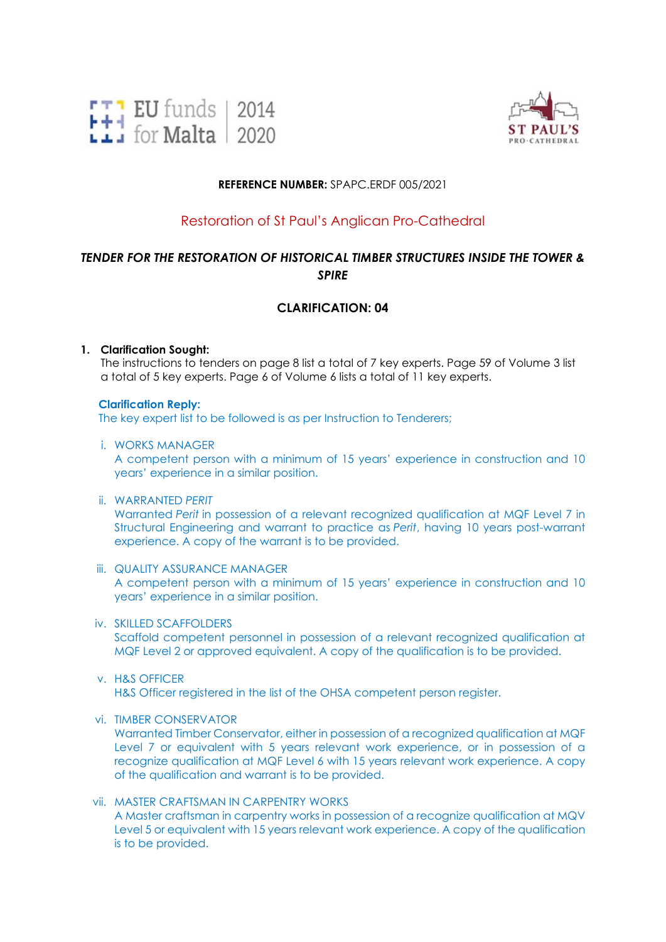



### **REFERENCE NUMBER:** SPAPC.ERDF 005/2021

# Restoration of St Paul's Anglican Pro-Cathedral

# *TENDER FOR THE RESTORATION OF HISTORICAL TIMBER STRUCTURES INSIDE THE TOWER & SPIRE*

## **CLARIFICATION: 04**

### **1. Clarification Sought:**

The instructions to tenders on page 8 list a total of 7 key experts. Page 59 of Volume 3 list a total of 5 key experts. Page 6 of Volume 6 lists a total of 11 key experts.

#### **Clarification Reply:**

The key expert list to be followed is as per Instruction to Tenderers;

#### i. WORKS MANAGER

A competent person with a minimum of 15 years' experience in construction and 10 years' experience in a similar position.

#### ii. WARRANTED *PERIT*

Warranted *Perit* in possession of a relevant recognized qualification at MQF Level 7 in Structural Engineering and warrant to practice as *Perit*, having 10 years post-warrant experience. A copy of the warrant is to be provided.

### iii. QUALITY ASSURANCE MANAGER

A competent person with a minimum of 15 years' experience in construction and 10 years' experience in a similar position.

#### iv. SKILLED SCAFFOLDERS

Scaffold competent personnel in possession of a relevant recognized qualification at MQF Level 2 or approved equivalent. A copy of the qualification is to be provided.

#### v. H&S OFFICER

H&S Officer registered in the list of the OHSA competent person register.

#### vi. TIMBER CONSERVATOR

Warranted Timber Conservator, either in possession of a recognized qualification at MQF Level 7 or equivalent with 5 years relevant work experience, or in possession of a recognize qualification at MQF Level 6 with 15 years relevant work experience. A copy of the qualification and warrant is to be provided.

vii. MASTER CRAFTSMAN IN CARPENTRY WORKS A Master craftsman in carpentry works in possession of a recognize qualification at MQV Level 5 or equivalent with 15 years relevant work experience. A copy of the qualification is to be provided.